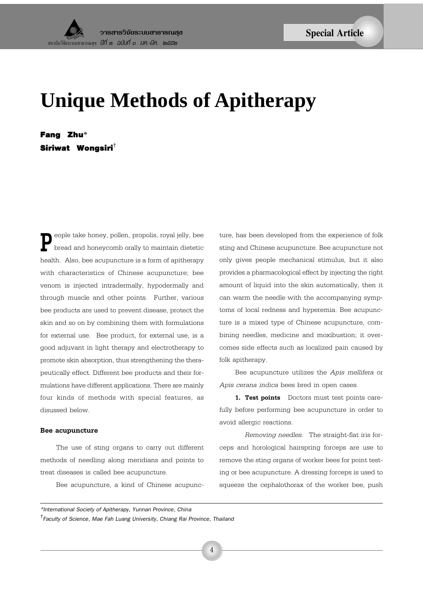# **Unique Methods of Apitherapy**

Fang Zhu\* Siriwat Wongsiri†

**P**eople take honey, pollen, propolis, royal jelly, bee bread and honeycomb orally to maintain dietetic health. Also, bee acupuncture is a form of apitherapy with characteristics of Chinese acupuncture; bee venom is injected intradermally, hypodermally and through muscle and other points. Further, various bee products are used to prevent disease, protect the skin and so on by combining them with formulations for external use. Bee product, for external use, is a good adjuvant in light therapy and electrotherapy to promote skin absorption, thus strengthening the therapeutically effect. Different bee products and their formulations have different applications. There are mainly four kinds of methods with special features, as disussed below.

### **Bee acupuncture**

The use of sting organs to carry out different methods of needling along meridians and points to treat diseases is called bee acupuncture.

Bee acupuncture, a kind of Chinese acupunc-

ture, has been developed from the experience of folk sting and Chinese acupuncture. Bee acupuncture not only gives people mechanical stimulus, but it also provides a pharmacological effect by injecting the right amount of liquid into the skin automatically, then it can warm the needle with the accompanying symptoms of local redness and hyperemia. Bee acupuncture is a mixed type of Chinese acupuncture, combining needles, medicine and moxibustion; it overcomes side effects such as localized pain caused by folk apitherapy.

Bee acupuncture utilizes the *Apis mellifera* or *Apis cerana indica* bees bred in open cases.

**1. Test points** Doctors must test points carefully before performing bee acupuncture in order to avoid allergic reactions.

*Removing needles.* The straight-flat iris forceps and horological hairspring forceps are use to remove the sting organs of worker bees for point testing or bee acupuncture. A dressing forceps is used to squeeze the cephalothorax of the worker bee, push

*\*International Society of Apitherapy, Yunnan Province, China*

*† Faculty of Science, Mae Fah Luang University, Chiang Rai Province, Thailand*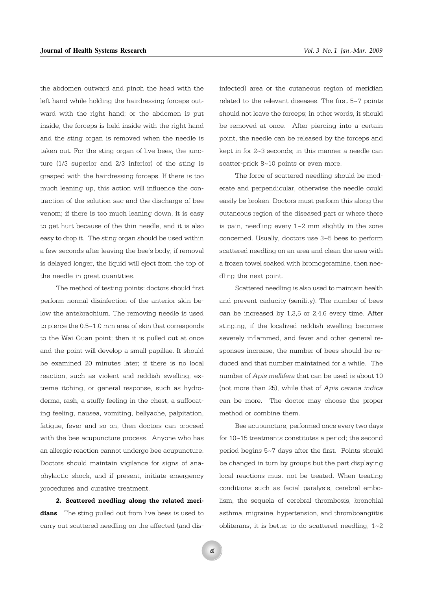the abdomen outward and pinch the head with the left hand while holding the hairdressing forceps outward with the right hand; or the abdomen is put inside, the forceps is held inside with the right hand and the sting organ is removed when the needle is taken out. For the sting organ of live bees, the juncture (1/3 superior and 2/3 inferior) of the sting is grasped with the hairdressing forceps. If there is too much leaning up, this action will influence the contraction of the solution sac and the discharge of bee venom; if there is too much leaning down, it is easy to get hurt because of the thin needle, and it is also easy to drop it. The sting organ should be used within a few seconds after leaving the bee's body; if removal is delayed longer, the liquid will eject from the top of the needle in great quantities.

The method of testing points: doctors should first perform normal disinfection of the anterior skin below the antebrachium. The removing needle is used to pierce the 0.5~1.0 mm area of skin that corresponds to the Wai Guan point; then it is pulled out at once and the point will develop a small papillae. It should be examined 20 minutes later; if there is no local reaction, such as violent and reddish swelling, extreme itching, or general response, such as hydroderma, rash, a stuffy feeling in the chest, a suffocating feeling, nausea, vomiting, bellyache, palpitation, fatigue, fever and so on, then doctors can proceed with the bee acupuncture process. Anyone who has an allergic reaction cannot undergo bee acupuncture. Doctors should maintain vigilance for signs of anaphylactic shock, and if present, initiate emergency procedures and curative treatment.

**2. Scattered needling along the related meridians** The sting pulled out from live bees is used to carry out scattered needling on the affected (and disinfected) area or the cutaneous region of meridian related to the relevant diseases. The first 5~7 points should not leave the forceps; in other words, it should be removed at once. After piercing into a certain point, the needle can be released by the forceps and kept in for 2~3 seconds; in this manner a needle can scatter-prick 8~10 points or even more.

The force of scattered needling should be moderate and perpendicular, otherwise the needle could easily be broken. Doctors must perform this along the cutaneous region of the diseased part or where there is pain, needling every 1~2 mm slightly in the zone concerned. Usually, doctors use 3~5 bees to perform scattered needling on an area and clean the area with a frozen towel soaked with bromogeramine, then needling the next point.

Scattered needling is also used to maintain health and prevent caducity (senility). The number of bees can be increased by 1,3,5 or 2,4,6 every time. After stinging, if the localized reddish swelling becomes severely inflammed, and fever and other general responses increase, the number of bees should be reduced and that number maintained for a while. The number of *Apis mellifera* that can be used is about 10 (not more than 25), while that of *Apis cerana indica* can be more. The doctor may choose the proper method or combine them.

Bee acupuncture, performed once every two days for 10~15 treatments constitutes a period; the second period begins 5~7 days after the first. Points should be changed in turn by groups but the part displaying local reactions must not be treated. When treating conditions such as facial paralysis, cerebral embolism, the sequela of cerebral thrombosis, bronchial asthma, migraine, hypertension, and thromboangiitis obliterans, it is better to do scattered needling, 1~2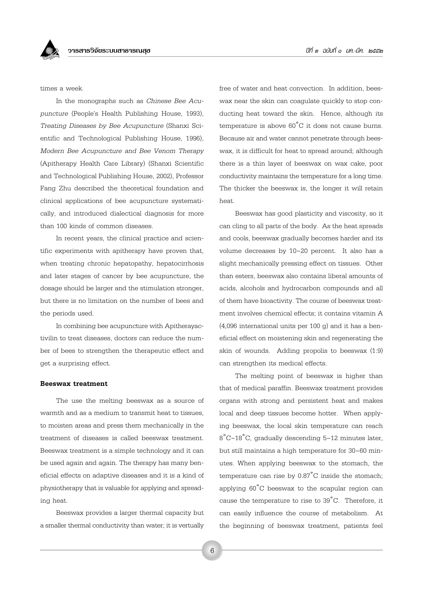times a week.

In the monographs such as *Chinese Bee Acupuncture* (People's Health Publishing House, 1993). *Treating Diseases by Bee Acupuncture* (Shanxi Scientific and Technological Publishing House, 1996), *Modern Bee Acupuncture and Bee Venom Therapy* (Apitherapy Health Care Library) (Shanxi Scientific and Technological Publishing House, 2002), Professor Fang Zhu described the theoretical foundation and clinical applications of bee acupuncture systematically, and introduced dialectical diagnosis for more than 100 kinds of common diseases.

In recent years, the clinical practice and scientific experiments with apitherapy have proven that, when treating chronic hepatopathy, hepatocirrhosis and later stages of cancer by bee acupuncture, the dosage should be larger and the stimulation stronger, but there is no limitation on the number of bees and the periods used.

In combining bee acupuncture with Apitherayactivilin to treat diseases, doctors can reduce the number of bees to strengthen the therapeutic effect and get a surprising effect.

## **Beeswax treatment**

The use the melting beeswax as a source of warmth and as a medium to transmit heat to tissues, to moisten areas and press them mechanically in the treatment of diseases is called beeswax treatment. Beeswax treatment is a simple technology and it can be used again and again. The therapy has many beneficial effects on adaptive diseases and it is a kind of physiotherapy that is valuable for applying and spreading heat.

Beeswax provides a larger thermal capacity but a smaller thermal conductivity than water; it is vertually free of water and heat convection. In addition, beeswax near the skin can coagulate quickly to stop conducting heat toward the skin. Hence, although its temperature is above 60˚C it does not cause burns. Because air and water cannot penetrate through beeswax, it is difficult for heat to spread around; although there is a thin layer of beeswax on wax cake, poor conductivity maintains the temperature for a long time. The thicker the beeswax is, the longer it will retain heat.

Beeswax has good plasticity and viscosity, so it can cling to all parts of the body. As the heat spreads and cools, beeswax gradually becomes harder and its volume decreases by 10~20 percent. It also has a slight mechanically pressing effect on tissues. Other than esters, beeswax also contains liberal amounts of acids, alcohols and hydrocarbon compounds and all of them have bioactivity. The course of beeswax treatment involves chemical effects; it contains vitamin A (4,096 international units per 100 g) and it has a beneficial effect on moistening skin and regenerating the skin of wounds. Adding propolis to beeswax (1:9) can strengthen its medical effects.

The melting point of beeswax is higher than that of medical paraffin. Beeswax treatment provides organs with strong and persistent heat and makes local and deep tissues become hotter. When applying beeswax, the local skin temperature can reach 8˚C~18˚C, gradually descending 5~12 minutes later, but still maintains a high temperature for 30~60 minutes. When applying beeswax to the stomach, the temperature can rise by  $0.87^{\circ}$ C inside the stomach; applying 60˚C beeswax to the scapular region can cause the temperature to rise to 39˚C. Therefore, it can easily influence the course of metabolism. At the beginning of beeswax treatment, patients feel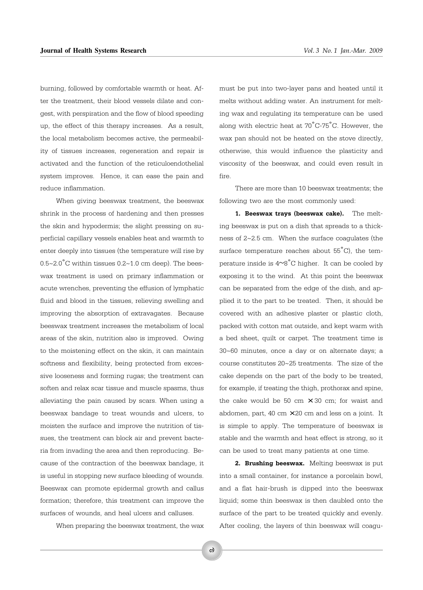burning, followed by comfortable warmth or heat. After the treatment, their blood vessels dilate and congest, with perspiration and the flow of blood speeding up, the effect of this therapy increases. As a result, the local metabolism becomes active, the permeability of tissues increases, regeneration and repair is activated and the function of the reticuloendothelial system improves. Hence, it can ease the pain and reduce inflammation.

When giving beeswax treatment, the beeswax shrink in the process of hardening and then presses the skin and hypodermis; the slight pressing on superficial capillary vessels enables heat and warmth to enter deeply into tissues (the temperature will rise by 0.5~2.0˚C within tissues 0.2~1.0 cm deep). The beeswax treatment is used on primary inflammation or acute wrenches, preventing the effusion of lymphatic fluid and blood in the tissues, relieving swelling and improving the absorption of extravagates. Because beeswax treatment increases the metabolism of local areas of the skin, nutrition also is improved. Owing to the moistening effect on the skin, it can maintain softness and flexibility, being protected from excessive looseness and forming rugas; the treatment can soften and relax scar tissue and muscle spasms, thus alleviating the pain caused by scars. When using a beeswax bandage to treat wounds and ulcers, to moisten the surface and improve the nutrition of tissues, the treatment can block air and prevent bacteria from invading the area and then reproducing. Because of the contraction of the beeswax bandage, it is useful in stopping new surface bleeding of wounds. Beeswax can promote epidermal growth and callus formation; therefore, this treatment can improve the surfaces of wounds, and heal ulcers and calluses.

When preparing the beeswax treatment, the wax

must be put into two-layer pans and heated until it melts without adding water. An instrument for melting wax and regulating its temperature can be used along with electric heat at 70˚C-75˚C. However, the wax pan should not be heated on the stove directly, otherwise, this would influence the plasticity and viscosity of the beeswax, and could even result in fire.

There are more than 10 beeswax treatments; the following two are the most commonly used:

**1. Beeswax trays (beeswax cake).** The melting beeswax is put on a dish that spreads to a thickness of 2~2.5 cm. When the surface coagulates (the surface temperature reaches about  $55^{\circ}$ C), the temperature inside is  $4~8^{\circ}$ C higher. It can be cooled by exposing it to the wind. At this point the beeswax can be separated from the edge of the dish, and applied it to the part to be treated. Then, it should be covered with an adhesive plaster or plastic cloth, packed with cotton mat outside, and kept warm with a bed sheet, quilt or carpet. The treatment time is 30~60 minutes, once a day or on alternate days; a course constitutes 20~25 treatments. The size of the cake depends on the part of the body to be treated, for example, if treating the thigh, prothorax and spine, the cake would be 50 cm  $\times$  30 cm; for waist and abdomen, part, 40 cm  $\times$  20 cm and less on a joint. It is simple to apply. The temperature of beeswax is stable and the warmth and heat effect is strong, so it can be used to treat many patients at one time.

**2. Brushing beeswax.** Melting beeswax is put into a small container, for instance a porcelain bowl, and a flat hair-brush is dipped into the beeswax liquid; some thin beeswax is then daubled onto the surface of the part to be treated quickly and evenly. After cooling, the layers of thin beeswax will coagu-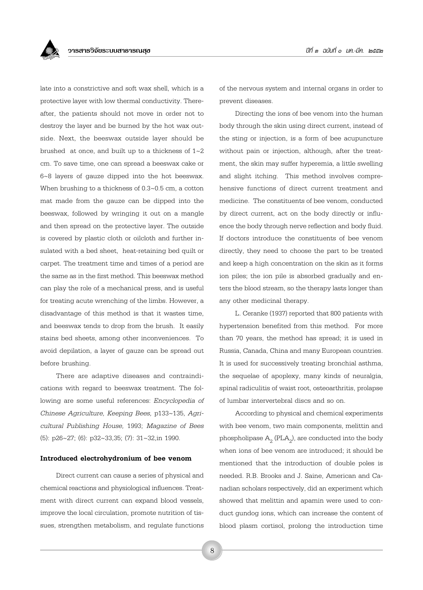

late into a constrictive and soft wax shell, which is a protective layer with low thermal conductivity. Thereafter, the patients should not move in order not to destroy the layer and be burned by the hot wax outside. Next, the beeswax outside layer should be brushed at once, and built up to a thickness of  $1~2$ cm. To save time, one can spread a beeswax cake or 6~8 layers of gauze dipped into the hot beeswax. When brushing to a thickness of 0.3~0.5 cm, a cotton mat made from the gauze can be dipped into the beeswax, followed by wringing it out on a mangle and then spread on the protective layer. The outside is covered by plastic cloth or oilcloth and further insulated with a bed sheet, heat-retaining bed quilt or carpet. The treatment time and times of a period are the same as in the first method. This beeswax method can play the role of a mechanical press, and is useful for treating acute wrenching of the limbs. However, a disadvantage of this method is that it wastes time, and beeswax tends to drop from the brush. It easily stains bed sheets, among other inconveniences. To avoid depilation, a layer of gauze can be spread out before brushing.

There are adaptive diseases and contraindications with regard to beeswax treatment. The following are some useful references: *Encyclopedia of Chinese Agriculture, Keeping Bees,* p133~135, *Agricultural Publishing House,* 1993; *Magazine of Bees* (5): p26~27; (6): p32~33,35; (7): 31~32,in 1990.

#### **Introduced electrohydronium of bee venom**

Direct current can cause a series of physical and chemical reactions and physiological influences. Treatment with direct current can expand blood vessels, improve the local circulation, promote nutrition of tissues, strengthen metabolism, and regulate functions of the nervous system and internal organs in order to prevent diseases.

Directing the ions of bee venom into the human body through the skin using direct current, instead of the sting or injection, is a form of bee acupuncture without pain or injection, although, after the treatment, the skin may suffer hyperemia, a little swelling and slight itching. This method involves comprehensive functions of direct current treatment and medicine. The constituents of bee venom, conducted by direct current, act on the body directly or influence the body through nerve reflection and body fluid. If doctors introduce the constituents of bee venom directly, they need to choose the part to be treated and keep a high concentration on the skin as it forms ion piles; the ion pile is absorbed gradually and enters the blood stream, so the therapy lasts longer than any other medicinal therapy.

L. Ceranke (1937) reported that 800 patients with hypertension benefited from this method. For more than 70 years, the method has spread; it is used in Russia, Canada, China and many European countries. It is used for successively treating bronchial asthma, the sequelae of apoplexy, many kinds of neuralgia, spinal radiculitis of waist root, osteoarthritis, prolapse of lumbar intervertebral discs and so on.

According to physical and chemical experiments with bee venom, two main components, melittin and phospholipase  $\mathcal{A}_2$  (PL $\mathcal{A}_2$ ), are conducted into the body when ions of bee venom are introduced; it should be mentioned that the introduction of double poles is needed. R.B. Brooks and J. Saine, American and Canadian scholars respectively, did an experiment which showed that melittin and apamin were used to conduct gundog ions, which can increase the content of blood plasm cortisol, prolong the introduction time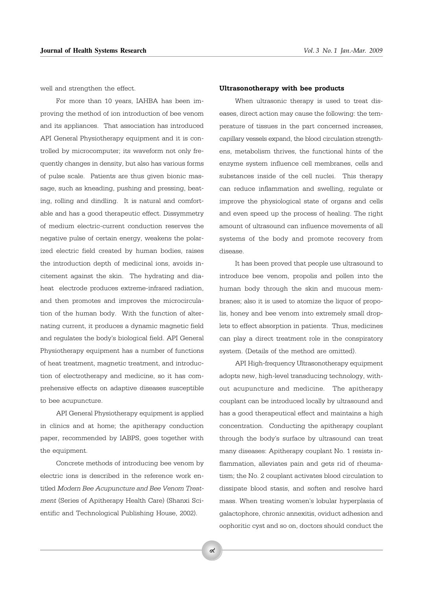well and strengthen the effect.

For more than 10 years, IAHBA has been improving the method of ion introduction of bee venom and its appliances. That association has introduced API General Physiotherapy equipment and it is controlled by microcomputer; its waveform not only frequently changes in density, but also has various forms of pulse scale. Patients are thus given bionic massage, such as kneading, pushing and pressing, beating, rolling and dindling. It is natural and comfortable and has a good therapeutic effect. Dissymmetry of medium electric-current conduction reserves the negative pulse of certain energy, weakens the polarized electric field created by human bodies, raises the introduction depth of medicinal ions, avoids incitement against the skin. The hydrating and diaheat electrode produces extreme-infrared radiation, and then promotes and improves the microcirculation of the human body. With the function of alternating current, it produces a dynamic magnetic field and regulates the body's biological field. API General Physiotherapy equipment has a number of functions of heat treatment, magnetic treatment, and introduction of electrotherapy and medicine, so it has comprehensive effects on adaptive diseases susceptible to bee acupuncture.

API General Physiotherapy equipment is applied in clinics and at home; the apitherapy conduction paper, recommended by IABPS, goes together with the equipment.

Concrete methods of introducing bee venom by electric ions is described in the reference work entitled *Modern Bee Acupuncture and Bee Venom Treatment* (Series of Apitherapy Health Care) (Shanxi Scientific and Technological Publishing House, 2002).

#### **Ultrasonotherapy with bee products**

When ultrasonic therapy is used to treat diseases, direct action may cause the following: the temperature of tissues in the part concerned increases, capillary vessels expand, the blood circulation strengthens, metabolism thrives, the functional hints of the enzyme system influence cell membranes, cells and substances inside of the cell nuclei. This therapy can reduce inflammation and swelling, regulate or improve the physiological state of organs and cells and even speed up the process of healing. The right amount of ultrasound can influence movements of all systems of the body and promote recovery from disease.

It has been proved that people use ultrasound to introduce bee venom, propolis and pollen into the human body through the skin and mucous membranes; also it is used to atomize the liquor of propolis, honey and bee venom into extremely small droplets to effect absorption in patients. Thus, medicines can play a direct treatment role in the conspiratory system. (Details of the method are omitted).

API High-frequency Ultrasonotherapy equipment adopts new, high-level transducing technology, without acupuncture and medicine. The apitherapy couplant can be introduced locally by ultrasound and has a good therapeutical effect and maintains a high concentration. Conducting the apitherapy couplant through the body's surface by ultrasound can treat many diseases: Apitherapy couplant No. 1 resists inflammation, alleviates pain and gets rid of rheumatism; the No. 2 couplant activates blood circulation to dissipate blood stasis, and soften and resolve hard mass. When treating women's lobular hyperplasia of galactophore, chronic annexitis, oviduct adhesion and oophoritic cyst and so on, doctors should conduct the